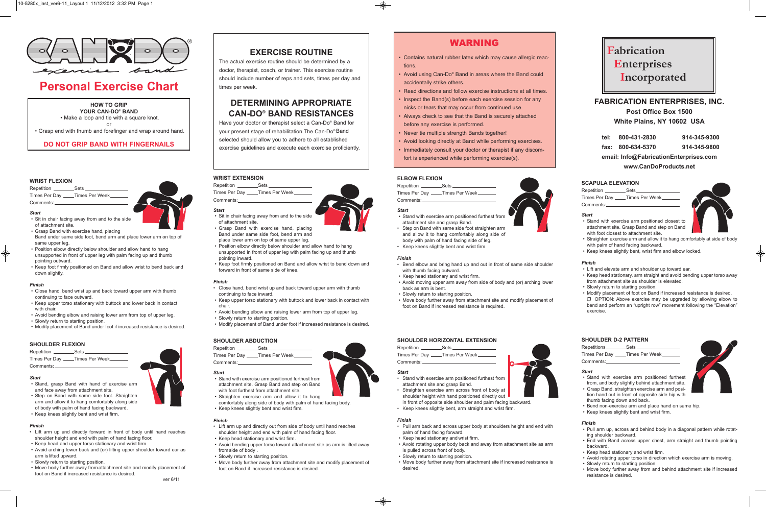#### **WRIST FLEXION**

Repetition \_\_\_\_\_\_\_\_\_\_\_Sets Times Per Day \_\_\_\_Times Per Week\_ Comments:

#### *Start*

- Sit in chair facing away from and to the side of attachment site.
- Grasp Band with exercise hand, placing Band under same side foot, bend arm and place lower arm on top of same upper leg.
- Position elbow directly below shoulder and allow hand to hang unsupported in front of upper leg with palm facing up and thumb pointing outward.
- Keep foot firmly positioned on Band and allow wrist to bend back and down slightly.

Repetition \_\_\_\_\_\_\_\_\_\_\_Sets Times Per Day \_\_\_\_Times Per Week\_ Comments:

#### *Finish*

- Close hand, bend wrist up and back toward upper arm with thumb continuing to face outward.
- Keep upper torso stationary with buttock and lower back in contact with chair.
- Avoid bending elbow and raising lower arm from top of upper leg.
- Slowly return to starting position.
- Modify placement of Band under foot if increased resistance is desired.

#### **SHOULDER FLEXION**

#### *Start*

- Stand, grasp Band with hand of exercise arm and face away from attachment site.
- Step on Band with same side foot. Straighten arm and allow it to hang comfortably along side of body with palm of hand facing backward.
- Keep knees slightly bent and wrist firm.
- Position elbow directly below shoulder and allow hand to hang unsupported in front of upper leg with palm facing up and thumb pointing inward.
- Keep foot firmly positioned on Band and allow wrist to bend down and forward in front of same side of knee.
- Close hand, bend wrist up and back toward upper arm with thumb continuing to face inward.
- Keep upper torso stationary with buttock and lower back in contact with chair.
- Avoid bending elbow and raising lower arm from top of upper leg.
- Slowly return to starting position.
- Modify placement of Band under foot if increased resistance is desired.

#### *Finish*

- Lift arm up and directly forward in front of body until hand reaches shoulder height and end with palm of hand facing floor.
- Keep head and upper torso stationary and wrist firm.
- Avoid arching lower back and (or) lifting upper shoulder toward ear as arm is lifted upward.
- Slowly return to starting position.
- Move body further away from attachment site and modify placement of foot on Band if increased resistance is desired.

Repetition \_\_\_\_\_\_\_\_\_\_\_Sets\_ Times Per Day \_\_\_\_\_Times Per Week\_ Comments:

**EXERCISE ROUTINE** 

The actual exercise routine should be determined by a doctor, therapist, coach, or trainer. This exercise routine should include number of reps and sets, times per day and times per week.

## **DETERMINING APPROPRIATE CAN-DO® BAND RESISTANCES**

Repetition \_\_\_\_\_\_\_\_\_\_\_Sets Times Per Day \_\_\_\_Times Per Week\_ Comments:

Have your doctor or therapist select a Can-Do® Band for your present stage of rehabilitation.The Can-Do® Band selected should allow you to adhere to all established exercise guidelines and execute each exercise proficiently.

#### **WRIST EXTENSION**



#### *Start*

• Sit in chair facing away from and to the side of attachment site.











#### **SHOULDER ABDUCTION**

#### *Start*

- Stand with exercise arm positioned furthest from attachment site. Grasp Band and step on Band with foot furthest from attachment site.
- Straighten exercise arm and allow it to hang comfortably along side of body with palm of hand facing body.
- Keep knees slightly bent and wrist firm.

#### *Finish*

- Lift arm up and directly out from side of body until hand reaches
- shoulder height and end with palm of hand facing floor.
- Keep head stationary and wrist firm.
- Avoid bending upper torso toward attachment site as arm is lifted away from side of body .
- Slowly return to starting position.
- Move body further away from attachment site and modify placement of foot on Band if increased resistance is desired.

#### **ELBOW FLEXION**

#### *Start*

- Stand with exercise arm positioned furthest from attachment site and grasp Band.
- Step on Band with same side foot straighten arm and allow it to hang comfortably along side of body with palm of hand facing side of leg.
- Keep knees slightly bent and wrist firm.

#### *Finish*

- Bend elbow and bring hand up and out in front of same side shoulder with thumb facing outward.
- Keep head stationary and wrist firm.
- Avoid moving upper arm away from side of body and (or) arching lower back as arm is bent.
- Slowly return to starting position.
- Move body further away from attachment site and modify placement of foot on Band if increased resistance is required.

#### **SHOULDER HORIZONTAL EXTENSION**

Repetition \_\_\_\_\_\_\_\_\_\_\_\_\_Sets \_\_ Times Per Day \_\_\_\_Times Per Week\_\_ Comments:



- Stand with exercise arm positioned furthest from attachment site and grasp Band.
- Straighten exercise arm across front of body at shoulder height with hand positioned directly out
- in front of opposite side shoulder and palm facing backward.<br>Keep knees slightly bent, arm straight and wrist firm. • Keep knees slightly bent, arm straight and wrist firm.
- 

#### *Finish*

- Pull arm back and across upper body at shoulders height and end with palm of hand facing forward.
- Keep head stationary and wrist firm.
- Avoid rotating upper body back and away from attachment site as arm is pulled across front of body.
- Slowly return to starting position.
- Move body further away from attachment site if increased resistance is desired.

### **SCAPULA ELEVATION**

| Repetition __________Sets __________ |  |
|--------------------------------------|--|
| Times Per Day Times Per Week         |  |
| Comments:__                          |  |
|                                      |  |

#### *Start*

• Stand with exercise arm positioned closest to attachment site. Grasp Band and step on Band with foot closest to attachment site.



- Straighten exercise arm and allow it to hang comfortably at side of body with palm of hand facing backward.
- Keep knees slightly bent, wrist firm and elbow locked.

#### *Finish*

- Lift and elevate arm and shoulder up toward ear.
- Keep head stationary, arm straight and avoid bending upper torso away from attachment site as shoulder is elevated.
- Slowly return to starting position.
- Modify placement of foot on Band if increased resistance is desired.  $\Box$  OPTION: Above exercise may be upgraded by allowing elbow to bend and perform an "upright row" movement following the "Elevation" exercise.

#### **SHOULDER D-2 PATTERN**

| Repetitions   | Sets           |
|---------------|----------------|
| Times Per Day | Times Per Week |
| Comments:     |                |

#### *Start*

- Stand with exercise arm positioned furthest from, and body slightly behind attachment site.
- Grasp Band, straighten exercise arm and position hand out in front of opposite side hip with thumb facing down and back.



- Bend non-exercise arm and place hand on same hip.
- Keep knees slightly bent and wrist firm.

#### *Finish*

- Pull arm up, across and behind body in a diagonal pattern while rotating shoulder backward.
- End with Band across upper chest, arm straight and thumb pointing backward.
- Keep head stationary and wrist firm.
- Avoid rotating upper torso in direction which exercise arm is moving.
- Slowly return to starting position.
- Move body further away from and behind attachment site if increased resistance is desired.



| tel: 800-431-2830 | 914-345-9300 |
|-------------------|--------------|
|                   |              |

**fax: 800-634-5370 914-345-9800**

**email: Info@FabricationEnterprises.com www.CanDoProducts.net**

## **Fabrication Enterprises Incorporated**

### WARNING

- Contains natural rubber latex which may cause allergic reactions.
- Avoid using Can-Do® Band in areas where the Band could accidentally strike others.
- Read directions and follow exercise instructions at all times.
- Inspect the Band(s) before each exercise session for any nicks or tears that may occur from continued use.
- Always check to see that the Band is securely attached before any exercise is performed.
- Never tie multiple strength Bands together!
- Avoid looking directly at Band while performing exercises.
- Immediately consult your doctor or therapist if any discomfort is experienced while performing exercise(s).

## **Personal Exercise Chart**

**HOW TO GRIP YOUR CAN-DO® BAND** • Make a loop and tie with a square knot.

or • Grasp end with thumb and forefinger and wrap around hand.

### **DO NOT GRIP BAND WITH FINGERNAILS**